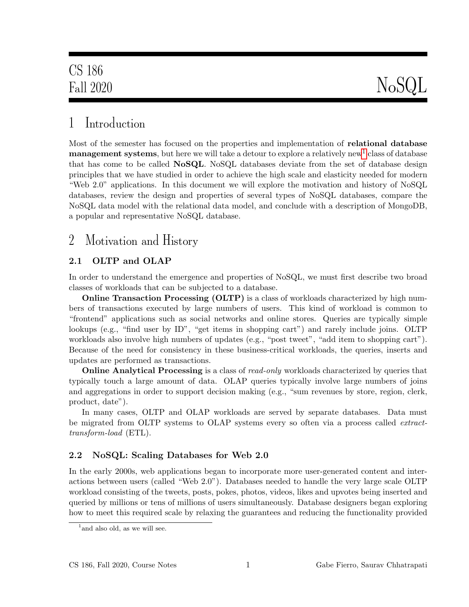# 1 Introduction

Most of the semester has focused on the properties and implementation of relational database  $\bf{m}$ anage $\bf{m}$ ent systems, but here we will take a detour to explore a relatively new $^1$  $^1$  class of database that has come to be called **NoSQL**. NoSQL databases deviate from the set of database design principles that we have studied in order to achieve the high scale and elasticity needed for modern "Web 2.0" applications. In this document we will explore the motivation and history of NoSQL databases, review the design and properties of several types of NoSQL databases, compare the NoSQL data model with the relational data model, and conclude with a description of MongoDB, a popular and representative NoSQL database.

## <span id="page-0-1"></span>2 Motivation and History

## 2.1 OLTP and OLAP

In order to understand the emergence and properties of NoSQL, we must first describe two broad classes of workloads that can be subjected to a database.

**Online Transaction Processing (OLTP)** is a class of workloads characterized by high numbers of transactions executed by large numbers of users. This kind of workload is common to "frontend" applications such as social networks and online stores. Queries are typically simple lookups (e.g., "find user by ID", "get items in shopping cart") and rarely include joins. OLTP workloads also involve high numbers of updates (e.g., "post tweet", "add item to shopping cart"). Because of the need for consistency in these business-critical workloads, the queries, inserts and updates are performed as transactions.

**Online Analytical Processing** is a class of read-only workloads characterized by queries that typically touch a large amount of data. OLAP queries typically involve large numbers of joins and aggregations in order to support decision making (e.g., "sum revenues by store, region, clerk, product, date").

In many cases, OLTP and OLAP workloads are served by separate databases. Data must be migrated from OLTP systems to OLAP systems every so often via a process called *extract*transform-load (ETL).

## 2.2 NoSQL: Scaling Databases for Web 2.0

In the early 2000s, web applications began to incorporate more user-generated content and interactions between users (called "Web 2.0"). Databases needed to handle the very large scale OLTP workload consisting of the tweets, posts, pokes, photos, videos, likes and upvotes being inserted and queried by millions or tens of millions of users simultaneously. Database designers began exploring how to meet this required scale by relaxing the guarantees and reducing the functionality provided

<span id="page-0-0"></span><sup>&</sup>lt;sup>1</sup> and also old, as we will see.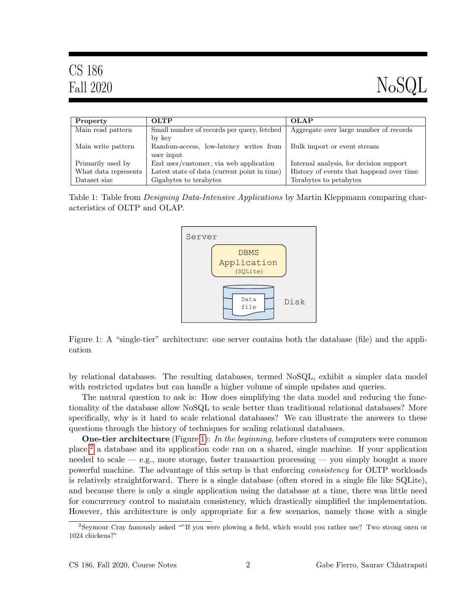| CS 186<br>Fall 2020 |                                            | NoSQL                                  |
|---------------------|--------------------------------------------|----------------------------------------|
| Property            | <b>OLTP</b>                                | <b>OLAP</b>                            |
| Main read pattern   | Small number of records per query, fetched | Aggregate over large number of records |

| wiani reau pattern   | sinali number of records per query, retailed | Aggregate over large number of records   |
|----------------------|----------------------------------------------|------------------------------------------|
|                      | by key                                       |                                          |
| Main write pattern   | Random-access, low-latency writes from       | <b>Bulk</b> import or event stream       |
|                      | user input                                   |                                          |
| Primarily used by    | End user/customer, via web application       | Internal analysis, for decision support  |
| What data represents | Latest state of data (current point in time) | History of events that happend over time |
| Dataset size         | Gigabytes to terabytes                       | Terabytes to petabytes                   |

<span id="page-1-0"></span>Table 1: Table from *Designing Data-Intensive Applications* by Martin Kleppmann comparing characteristics of OLTP and OLAP.



Figure 1: A "single-tier" architecture: one server contains both the database (file) and the application

by relational databases. The resulting databases, termed NoSQL, exhibit a simpler data model with restricted updates but can handle a higher volume of simple updates and queries.

The natural question to ask is: How does simplifying the data model and reducing the functionality of the database allow NoSQL to scale better than traditional relational databases? More specifically, why is it hard to scale relational databases? We can illustrate the answers to these questions through the history of techniques for scaling relational databases.

**One-tier architecture** (Figure [1\)](#page-1-0): In the beginning, before clusters of computers were common place,[2](#page-1-1) a database and its application code ran on a shared, single machine. If your application needed to scale — e.g., more storage, faster transaction processing — you simply bought a more powerful machine. The advantage of this setup is that enforcing consistency for OLTP workloads is relatively straightforward. There is a single database (often stored in a single file like SQLite), and because there is only a single application using the database at a time, there was little need for concurrency control to maintain consistency, which drastically simplified the implementation. However, this architecture is only appropriate for a few scenarios, namely those with a single

<span id="page-1-1"></span><sup>2</sup>Seymour Cray famously asked ""If you were plowing a field, which would you rather use? Two strong oxen or 1024 chickens?"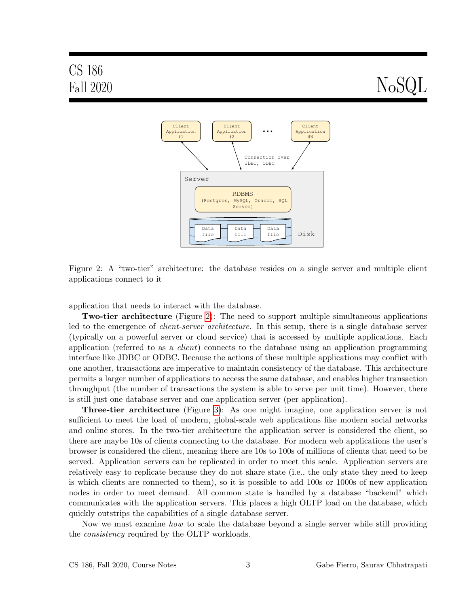# <span id="page-2-0"></span>Fall 2020  $NoSQL$



Figure 2: A "two-tier" architecture: the database resides on a single server and multiple client applications connect to it

application that needs to interact with the database.

Two-tier architecture (Figure [2\)](#page-2-0): The need to support multiple simultaneous applications led to the emergence of *client-server architecture*. In this setup, there is a single database server (typically on a powerful server or cloud service) that is accessed by multiple applications. Each application (referred to as a client) connects to the database using an application programming interface like JDBC or ODBC. Because the actions of these multiple applications may conflict with one another, transactions are imperative to maintain consistency of the database. This architecture permits a larger number of applications to access the same database, and enables higher transaction throughput (the number of transactions the system is able to serve per unit time). However, there is still just one database server and one application server (per application).

Three-tier architecture (Figure [3\)](#page-3-0): As one might imagine, one application server is not sufficient to meet the load of modern, global-scale web applications like modern social networks and online stores. In the two-tier architecture the application server is considered the client, so there are maybe 10s of clients connecting to the database. For modern web applications the user's browser is considered the client, meaning there are 10s to 100s of millions of clients that need to be served. Application servers can be replicated in order to meet this scale. Application servers are relatively easy to replicate because they do not share state (i.e., the only state they need to keep is which clients are connected to them), so it is possible to add 100s or 1000s of new application nodes in order to meet demand. All common state is handled by a database "backend" which communicates with the application servers. This places a high OLTP load on the database, which quickly outstrips the capabilities of a single database server.

Now we must examine how to scale the database beyond a single server while still providing the consistency required by the OLTP workloads.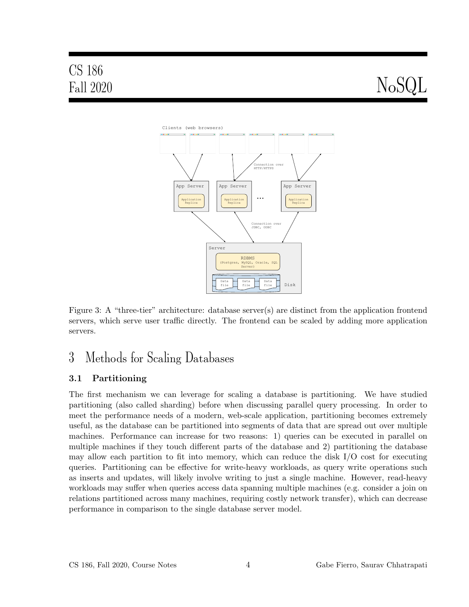# CS 186

# <span id="page-3-0"></span>Fall 2020  $NoSQL$



Figure 3: A "three-tier" architecture: database server(s) are distinct from the application frontend servers, which serve user traffic directly. The frontend can be scaled by adding more application servers.

# 3 Methods for Scaling Databases

#### 3.1 Partitioning

The first mechanism we can leverage for scaling a database is partitioning. We have studied partitioning (also called sharding) before when discussing parallel query processing. In order to meet the performance needs of a modern, web-scale application, partitioning becomes extremely useful, as the database can be partitioned into segments of data that are spread out over multiple machines. Performance can increase for two reasons: 1) queries can be executed in parallel on multiple machines if they touch different parts of the database and 2) partitioning the database may allow each partition to fit into memory, which can reduce the disk  $I/O$  cost for executing queries. Partitioning can be effective for write-heavy workloads, as query write operations such as inserts and updates, will likely involve writing to just a single machine. However, read-heavy workloads may suffer when queries access data spanning multiple machines (e.g. consider a join on relations partitioned across many machines, requiring costly network transfer), which can decrease performance in comparison to the single database server model.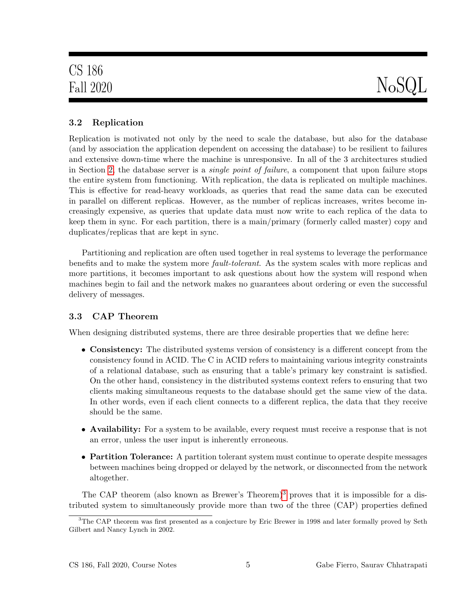## 3.2 Replication

Replication is motivated not only by the need to scale the database, but also for the database (and by association the application dependent on accessing the database) to be resilient to failures and extensive down-time where the machine is unresponsive. In all of the 3 architectures studied in Section [2,](#page-0-1) the database server is a *single point of failure*, a component that upon failure stops the entire system from functioning. With replication, the data is replicated on multiple machines. This is effective for read-heavy workloads, as queries that read the same data can be executed in parallel on different replicas. However, as the number of replicas increases, writes become increasingly expensive, as queries that update data must now write to each replica of the data to keep them in sync. For each partition, there is a main/primary (formerly called master) copy and duplicates/replicas that are kept in sync.

Partitioning and replication are often used together in real systems to leverage the performance benefits and to make the system more fault-tolerant. As the system scales with more replicas and more partitions, it becomes important to ask questions about how the system will respond when machines begin to fail and the network makes no guarantees about ordering or even the successful delivery of messages.

#### 3.3 CAP Theorem

When designing distributed systems, there are three desirable properties that we define here:

- Consistency: The distributed systems version of consistency is a different concept from the consistency found in ACID. The C in ACID refers to maintaining various integrity constraints of a relational database, such as ensuring that a table's primary key constraint is satisfied. On the other hand, consistency in the distributed systems context refers to ensuring that two clients making simultaneous requests to the database should get the same view of the data. In other words, even if each client connects to a different replica, the data that they receive should be the same.
- Availability: For a system to be available, every request must receive a response that is not an error, unless the user input is inherently erroneous.
- Partition Tolerance: A partition tolerant system must continue to operate despite messages between machines being dropped or delayed by the network, or disconnected from the network altogether.

The CAP theorem (also known as Brewer's Theorem)<sup>[3](#page-4-0)</sup> proves that it is impossible for a distributed system to simultaneously provide more than two of the three (CAP) properties defined

<span id="page-4-0"></span><sup>3</sup>The CAP theorem was first presented as a conjecture by Eric Brewer in 1998 and later formally proved by Seth Gilbert and Nancy Lynch in 2002.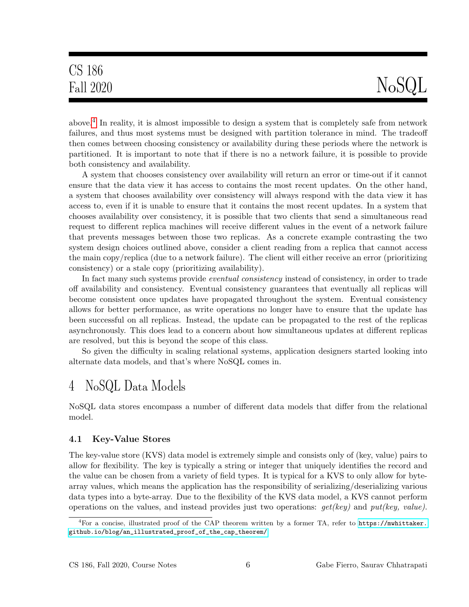# CS 186

# Fall 2020  $NoSQL$

above.<sup>[4](#page-5-0)</sup> In reality, it is almost impossible to design a system that is completely safe from network failures, and thus most systems must be designed with partition tolerance in mind. The tradeoff then comes between choosing consistency or availability during these periods where the network is partitioned. It is important to note that if there is no a network failure, it is possible to provide both consistency and availability.

A system that chooses consistency over availability will return an error or time-out if it cannot ensure that the data view it has access to contains the most recent updates. On the other hand, a system that chooses availability over consistency will always respond with the data view it has access to, even if it is unable to ensure that it contains the most recent updates. In a system that chooses availability over consistency, it is possible that two clients that send a simultaneous read request to different replica machines will receive different values in the event of a network failure that prevents messages between those two replicas. As a concrete example contrasting the two system design choices outlined above, consider a client reading from a replica that cannot access the main copy/replica (due to a network failure). The client will either receive an error (prioritizing consistency) or a stale copy (prioritizing availability).

In fact many such systems provide eventual consistency instead of consistency, in order to trade off availability and consistency. Eventual consistency guarantees that eventually all replicas will become consistent once updates have propagated throughout the system. Eventual consistency allows for better performance, as write operations no longer have to ensure that the update has been successful on all replicas. Instead, the update can be propagated to the rest of the replicas asynchronously. This does lead to a concern about how simultaneous updates at different replicas are resolved, but this is beyond the scope of this class.

So given the difficulty in scaling relational systems, application designers started looking into alternate data models, and that's where NoSQL comes in.

# 4 NoSQL Data Models

NoSQL data stores encompass a number of different data models that differ from the relational model.

#### 4.1 Key-Value Stores

The key-value store (KVS) data model is extremely simple and consists only of (key, value) pairs to allow for flexibility. The key is typically a string or integer that uniquely identifies the record and the value can be chosen from a variety of field types. It is typical for a KVS to only allow for bytearray values, which means the application has the responsibility of serializing/deserializing various data types into a byte-array. Due to the flexibility of the KVS data model, a KVS cannot perform operations on the values, and instead provides just two operations:  $get(key)$  and  $put(key, value)$ .

<span id="page-5-0"></span><sup>&</sup>lt;sup>4</sup>For a concise, illustrated proof of the CAP theorem written by a former TA, refer to [https://mwhittaker.](https://mwhittaker.github.io/blog/an_illustrated_proof_of_the_cap_theorem/) [github.io/blog/an\\_illustrated\\_proof\\_of\\_the\\_cap\\_theorem/](https://mwhittaker.github.io/blog/an_illustrated_proof_of_the_cap_theorem/)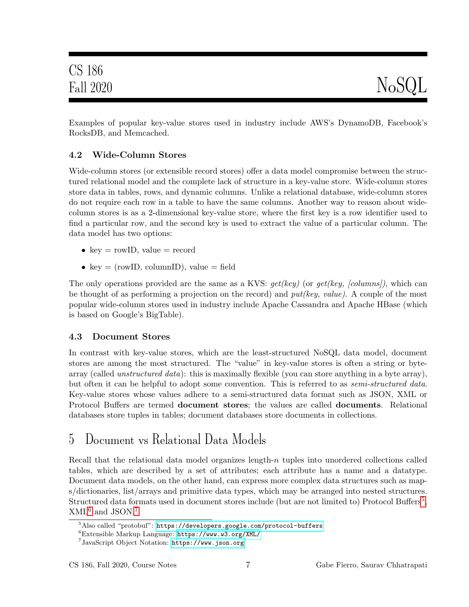Examples of popular key-value stores used in industry include AWS's DynamoDB, Facebook's RocksDB, and Memcached.

### 4.2 Wide-Column Stores

Wide-column stores (or extensible record stores) offer a data model compromise between the structured relational model and the complete lack of structure in a key-value store. Wide-column stores store data in tables, rows, and dynamic columns. Unlike a relational database, wide-column stores do not require each row in a table to have the same columns. Another way to reason about widecolumn stores is as a 2-dimensional key-value store, where the first key is a row identifier used to find a particular row, and the second key is used to extract the value of a particular column. The data model has two options:

- key = rowID, value = record
- key = (rowID, columnID), value = field

The only operations provided are the same as a KVS:  $get(key)$  (or  $get(key, [columns]),$  which can be thought of as performing a projection on the record) and  $put(key, value)$ . A couple of the most popular wide-column stores used in industry include Apache Cassandra and Apache HBase (which is based on Google's BigTable).

## 4.3 Document Stores

In contrast with key-value stores, which are the least-structured NoSQL data model, document stores are among the most structured. The "value" in key-value stores is often a string or bytearray (called *unstructured data*): this is maximally flexible (you can store anything in a byte array), but often it can be helpful to adopt some convention. This is referred to as *semi-structured data*. Key-value stores whose values adhere to a semi-structured data format such as JSON, XML or Protocol Buffers are termed document stores; the values are called documents. Relational databases store tuples in tables; document databases store documents in collections.

# 5 Document vs Relational Data Models

Recall that the relational data model organizes length- $n$  tuples into unordered collections called tables, which are described by a set of attributes; each attribute has a name and a datatype. Document data models, on the other hand, can express more complex data structures such as maps/dictionaries, list/arrays and primitive data types, which may be arranged into nested structures. Structured data formats used in document stores include (but are not limited to) Protocol Buffers<sup>[5](#page-6-0)</sup>,  $XML<sup>6</sup>$  $XML<sup>6</sup>$  $XML<sup>6</sup>$  and JSON.<sup>[7](#page-6-2)</sup>

<span id="page-6-0"></span> $5\,\mathrm{Also}$  called "protobuf": <code><https://developers.google.com/protocol-buffers></code>

<span id="page-6-1"></span><sup>6</sup>Extensible Markup Language: <https://www.w3.org/XML/>

<span id="page-6-2"></span><sup>7</sup> JavaScript Object Notation: <https://www.json.org>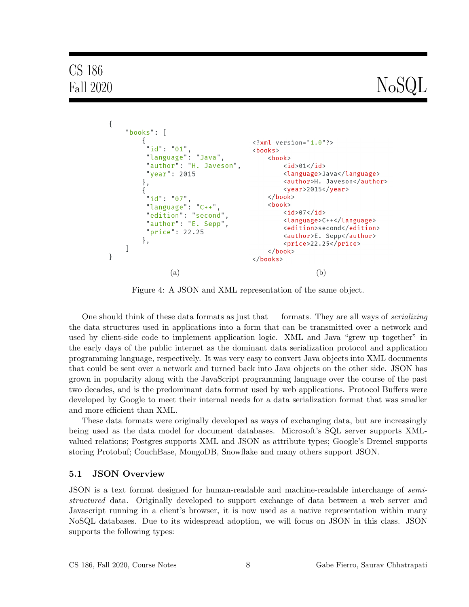# CS 186

# Fall 2020  $N_{\rm o}$ SQL

<span id="page-7-0"></span>

Figure 4: A JSON and XML representation of the same object.

One should think of these data formats as just that — formats. They are all ways of *serializing* the data structures used in applications into a form that can be transmitted over a network and used by client-side code to implement application logic. XML and Java "grew up together" in the early days of the public internet as the dominant data serialization protocol and application programming language, respectively. It was very easy to convert Java objects into XML documents that could be sent over a network and turned back into Java objects on the other side. JSON has grown in popularity along with the JavaScript programming language over the course of the past two decades, and is the predominant data format used by web applications. Protocol Buffers were developed by Google to meet their internal needs for a data serialization format that was smaller and more efficient than XML.

These data formats were originally developed as ways of exchanging data, but are increasingly being used as the data model for document databases. Microsoft's SQL server supports XMLvalued relations; Postgres supports XML and JSON as attribute types; Google's Dremel supports storing Protobuf; CouchBase, MongoDB, Snowflake and many others support JSON.

#### 5.1 JSON Overview

JSON is a text format designed for human-readable and machine-readable interchange of semistructured data. Originally developed to support exchange of data between a web server and Javascript running in a client's browser, it is now used as a native representation within many NoSQL databases. Due to its widespread adoption, we will focus on JSON in this class. JSON supports the following types: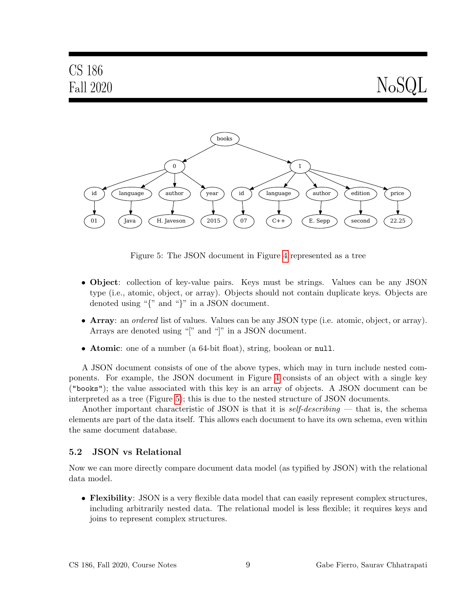Fall 2020  $NoSQL$ 

<span id="page-8-0"></span>

Figure 5: The JSON document in Figure [4](#page-7-0) represented as a tree

- Object: collection of key-value pairs. Keys must be strings. Values can be any JSON type (i.e., atomic, object, or array). Objects should not contain duplicate keys. Objects are denoted using "{" and "}" in a JSON document.
- Array: an ordered list of values. Values can be any JSON type (i.e. atomic, object, or array). Arrays are denoted using "[" and "]" in a JSON document.
- **Atomic**: one of a number (a 64-bit float), string, boolean or null.

A JSON document consists of one of the above types, which may in turn include nested components. For example, the JSON document in Figure [4](#page-7-0) consists of an object with a single key ("books"); the value associated with this key is an array of objects. A JSON document can be interpreted as a tree (Figure [5\)](#page-8-0); this is due to the nested structure of JSON documents.

Another important characteristic of JSON is that it is *self-describing* — that is, the schema elements are part of the data itself. This allows each document to have its own schema, even within the same document database.

#### 5.2 JSON vs Relational

Now we can more directly compare document data model (as typified by JSON) with the relational data model.

• Flexibility: JSON is a very flexible data model that can easily represent complex structures, including arbitrarily nested data. The relational model is less flexible; it requires keys and joins to represent complex structures.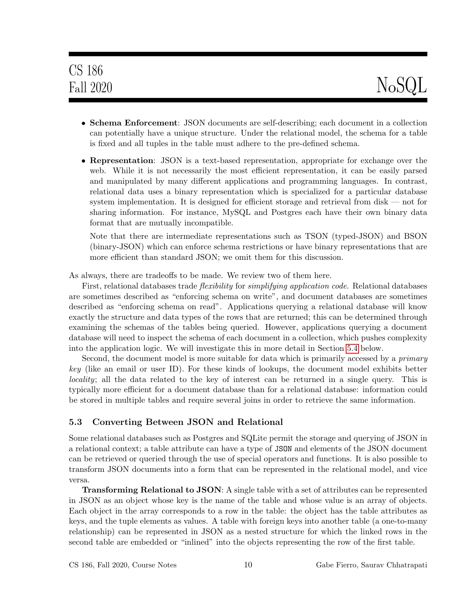- Schema Enforcement: JSON documents are self-describing; each document in a collection can potentially have a unique structure. Under the relational model, the schema for a table is fixed and all tuples in the table must adhere to the pre-defined schema.
- Representation: JSON is a text-based representation, appropriate for exchange over the web. While it is not necessarily the most efficient representation, it can be easily parsed and manipulated by many different applications and programming languages. In contrast, relational data uses a binary representation which is specialized for a particular database system implementation. It is designed for efficient storage and retrieval from disk — not for sharing information. For instance, MySQL and Postgres each have their own binary data format that are mutually incompatible.

Note that there are intermediate representations such as TSON (typed-JSON) and BSON (binary-JSON) which can enforce schema restrictions or have binary representations that are more efficient than standard JSON; we omit them for this discussion.

As always, there are tradeoffs to be made. We review two of them here.

First, relational databases trade *flexibility* for *simplifying application code*. Relational databases are sometimes described as "enforcing schema on write", and document databases are sometimes described as "enforcing schema on read". Applications querying a relational database will know exactly the structure and data types of the rows that are returned; this can be determined through examining the schemas of the tables being queried. However, applications querying a document database will need to inspect the schema of each document in a collection, which pushes complexity into the application logic. We will investigate this in more detail in Section [5.4](#page-10-0) below.

Second, the document model is more suitable for data which is primarily accessed by a *primary* key (like an email or user ID). For these kinds of lookups, the document model exhibits better locality; all the data related to the key of interest can be returned in a single query. This is typically more efficient for a document database than for a relational database: information could be stored in multiple tables and require several joins in order to retrieve the same information.

#### 5.3 Converting Between JSON and Relational

Some relational databases such as Postgres and SQLite permit the storage and querying of JSON in a relational context; a table attribute can have a type of JSON and elements of the JSON document can be retrieved or queried through the use of special operators and functions. It is also possible to transform JSON documents into a form that can be represented in the relational model, and vice versa.

Transforming Relational to JSON: A single table with a set of attributes can be represented in JSON as an object whose key is the name of the table and whose value is an array of objects. Each object in the array corresponds to a row in the table: the object has the table attributes as keys, and the tuple elements as values. A table with foreign keys into another table (a one-to-many relationship) can be represented in JSON as a nested structure for which the linked rows in the second table are embedded or "inlined" into the objects representing the row of the first table.